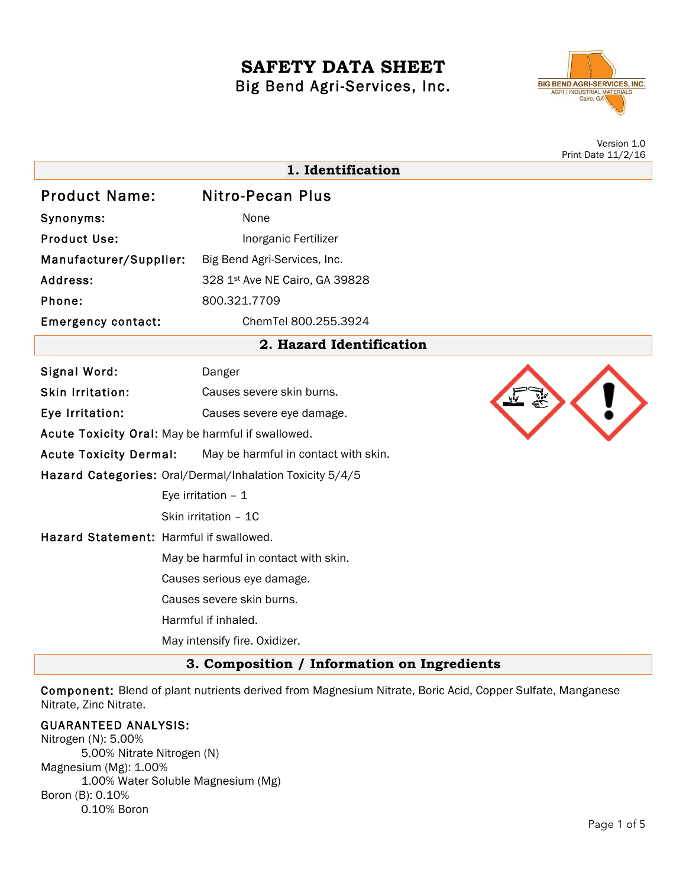# **SAFETY DATA SHEET** Big Bend Agri-Services, Inc.



Version 1.0 Print Date 11/2/16

| 1. Identification                       |                                                          |  |
|-----------------------------------------|----------------------------------------------------------|--|
| <b>Product Name:</b>                    | <b>Nitro-Pecan Plus</b>                                  |  |
| Synonyms:                               | None                                                     |  |
| <b>Product Use:</b>                     | Inorganic Fertilizer                                     |  |
| Manufacturer/Supplier:                  | Big Bend Agri-Services, Inc.                             |  |
| Address:                                | 328 1st Ave NE Cairo, GA 39828                           |  |
| Phone:                                  | 800.321.7709                                             |  |
| <b>Emergency contact:</b>               | ChemTel 800.255.3924                                     |  |
|                                         | 2. Hazard Identification                                 |  |
| Signal Word:                            | Danger                                                   |  |
| <b>Skin Irritation:</b>                 | Causes severe skin burns.                                |  |
| Eye Irritation:                         | Causes severe eye damage.                                |  |
|                                         | Acute Toxicity Oral: May be harmful if swallowed.        |  |
| <b>Acute Toxicity Dermal:</b>           | May be harmful in contact with skin.                     |  |
|                                         | Hazard Categories: Oral/Dermal/Inhalation Toxicity 5/4/5 |  |
|                                         | Eye irritation $-1$                                      |  |
|                                         | Skin irritation - 1C                                     |  |
| Hazard Statement: Harmful if swallowed. |                                                          |  |
|                                         | May be harmful in contact with skin.                     |  |
|                                         | Causes serious eye damage.                               |  |
|                                         | Causes severe skin burns.                                |  |
|                                         | Harmful if inhaled.                                      |  |
|                                         | May intensify fire. Oxidizer.                            |  |

**3. Composition / Information on Ingredients**

Component: Blend of plant nutrients derived from Magnesium Nitrate, Boric Acid, Copper Sulfate, Manganese Nitrate, Zinc Nitrate.

### GUARANTEED ANALYSIS:

Nitrogen (N): 5.00% 5.00% Nitrate Nitrogen (N) Magnesium (Mg): 1.00% 1.00% Water Soluble Magnesium (Mg) Boron (B): 0.10% 0.10% Boron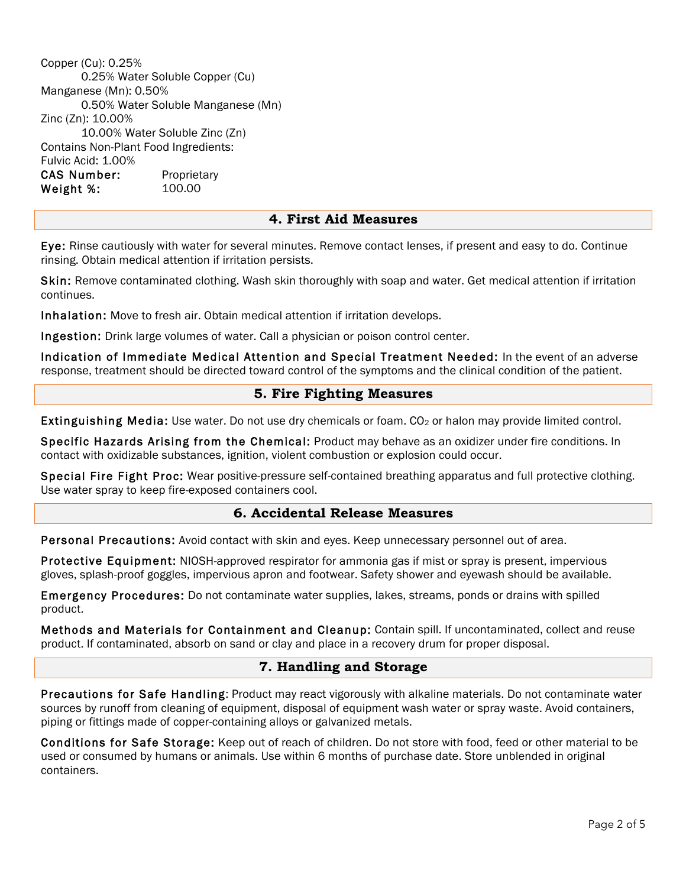Copper (Cu): 0.25% 0.25% Water Soluble Copper (Cu) Manganese (Mn): 0.50% 0.50% Water Soluble Manganese (Mn) Zinc (Zn): 10.00% 10.00% Water Soluble Zinc (Zn) Contains Non-Plant Food Ingredients: Fulvic Acid: 1.00% CAS Number: Proprietary Weight %: 100.00

## **4. First Aid Measures**

Eye: Rinse cautiously with water for several minutes. Remove contact lenses, if present and easy to do. Continue rinsing. Obtain medical attention if irritation persists.

Skin: Remove contaminated clothing. Wash skin thoroughly with soap and water. Get medical attention if irritation continues.

Inhalation: Move to fresh air. Obtain medical attention if irritation develops.

Ingestion: Drink large volumes of water. Call a physician or poison control center.

Indication of Immediate Medical Attention and Special Treatment Needed: In the event of an adverse response, treatment should be directed toward control of the symptoms and the clinical condition of the patient.

## **5. Fire Fighting Measures**

Extinguishing Media: Use water. Do not use dry chemicals or foam. CO<sub>2</sub> or halon may provide limited control.

Specific Hazards Arising from the Chemical: Product may behave as an oxidizer under fire conditions. In contact with oxidizable substances, ignition, violent combustion or explosion could occur.

Special Fire Fight Proc: Wear positive-pressure self-contained breathing apparatus and full protective clothing. Use water spray to keep fire-exposed containers cool.

#### **6. Accidental Release Measures**

Personal Precautions: Avoid contact with skin and eyes. Keep unnecessary personnel out of area.

Protective Equipment: NIOSH-approved respirator for ammonia gas if mist or spray is present, impervious gloves, splash-proof goggles, impervious apron and footwear. Safety shower and eyewash should be available.

Emergency Procedures: Do not contaminate water supplies, lakes, streams, ponds or drains with spilled product.

Methods and Materials for Containment and Cleanup: Contain spill. If uncontaminated, collect and reuse product. If contaminated, absorb on sand or clay and place in a recovery drum for proper disposal.

## **7. Handling and Storage**

Precautions for Safe Handling: Product may react vigorously with alkaline materials. Do not contaminate water sources by runoff from cleaning of equipment, disposal of equipment wash water or spray waste. Avoid containers, piping or fittings made of copper-containing alloys or galvanized metals.

Conditions for Safe Storage: Keep out of reach of children. Do not store with food, feed or other material to be used or consumed by humans or animals. Use within 6 months of purchase date. Store unblended in original containers.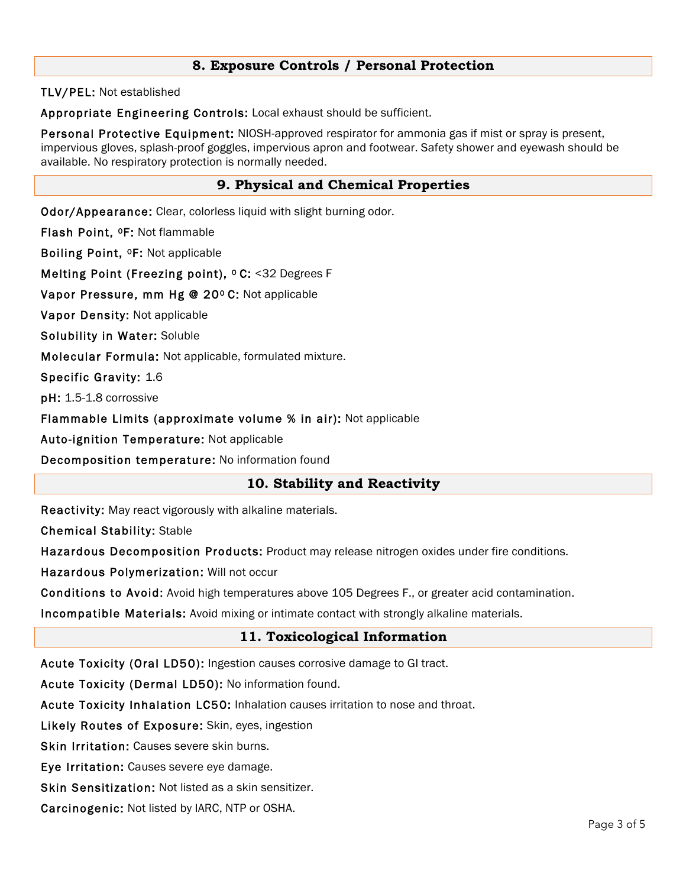## **8. Exposure Controls / Personal Protection**

TLV/PEL: Not established

Appropriate Engineering Controls: Local exhaust should be sufficient.

Personal Protective Equipment: NIOSH-approved respirator for ammonia gas if mist or spray is present, impervious gloves, splash-proof goggles, impervious apron and footwear. Safety shower and eyewash should be available. No respiratory protection is normally needed.

# **9. Physical and Chemical Properties**

Odor/Appearance: Clear, colorless liquid with slight burning odor.

Flash Point, 0F: Not flammable

Boiling Point, 0F: Not applicable

Melting Point (Freezing point), <sup>o</sup> C: <32 Degrees F

Vapor Pressure, mm Hg @ 20º C: Not applicable

Vapor Density: Not applicable

Solubility in Water: Soluble

Molecular Formula: Not applicable, formulated mixture.

Specific Gravity: 1.6

pH: 1.5-1.8 corrossive

Flammable Limits (approximate volume % in air): Not applicable

Auto-ignition Temperature: Not applicable

Decomposition temperature: No information found

## **10. Stability and Reactivity**

Reactivity: May react vigorously with alkaline materials.

Chemical Stability: Stable

Hazardous Decomposition Products: Product may release nitrogen oxides under fire conditions.

Hazardous Polymerization: Will not occur

Conditions to Avoid: Avoid high temperatures above 105 Degrees F., or greater acid contamination.

Incompatible Materials: Avoid mixing or intimate contact with strongly alkaline materials.

# **11. Toxicological Information**

Acute Toxicity (Oral LD50): Ingestion causes corrosive damage to GI tract.

Acute Toxicity (Dermal LD50): No information found.

Acute Toxicity Inhalation LC50: Inhalation causes irritation to nose and throat.

Likely Routes of Exposure: Skin, eyes, ingestion

Skin Irritation: Causes severe skin burns.

Eye Irritation: Causes severe eye damage.

Skin Sensitization: Not listed as a skin sensitizer.

Carcinogenic: Not listed by IARC, NTP or OSHA.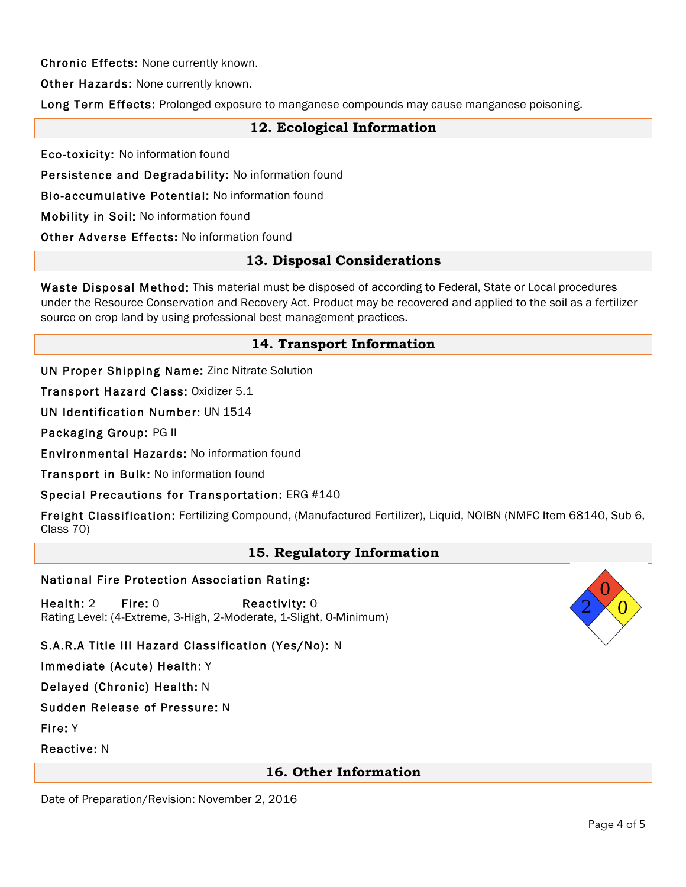Chronic Effects: None currently known.

Other Hazards: None currently known.

Long Term Effects: Prolonged exposure to manganese compounds may cause manganese poisoning.

## **12. Ecological Information**

Eco-toxicity: No information found

Persistence and Degradability: No information found

Bio-accumulative Potential: No information found

Mobility in Soil: No information found

Other Adverse Effects: No information found

## **13. Disposal Considerations**

Waste Disposal Method: This material must be disposed of according to Federal, State or Local procedures under the Resource Conservation and Recovery Act. Product may be recovered and applied to the soil as a fertilizer source on crop land by using professional best management practices.

## **14. Transport Information**

UN Proper Shipping Name: Zinc Nitrate Solution

Transport Hazard Class: Oxidizer 5.1

UN Identification Number: UN 1514

Packaging Group: PG II

Environmental Hazards: No information found

Transport in Bulk: No information found

### Special Precautions for Transportation: ERG #140

Freight Classification: Fertilizing Compound, (Manufactured Fertilizer), Liquid, NOIBN (NMFC Item 68140, Sub 6, Class 70)

### **15. Regulatory Information**

#### National Fire Protection Association Rating:

Health: 2 Fire: 0 Reactivity: 0 Rating Level: (4-Extreme, 3-High, 2-Moderate, 1-Slight, 0-Minimum)

# S.A.R.A Title III Hazard Classification (Yes/No): N

Immediate (Acute) Health: Y

Delayed (Chronic) Health: N

# Sudden Release of Pressure: N

Fire: Y

Reactive: N

## **16. Other Information**

Date of Preparation/Revision: November 2, 2016